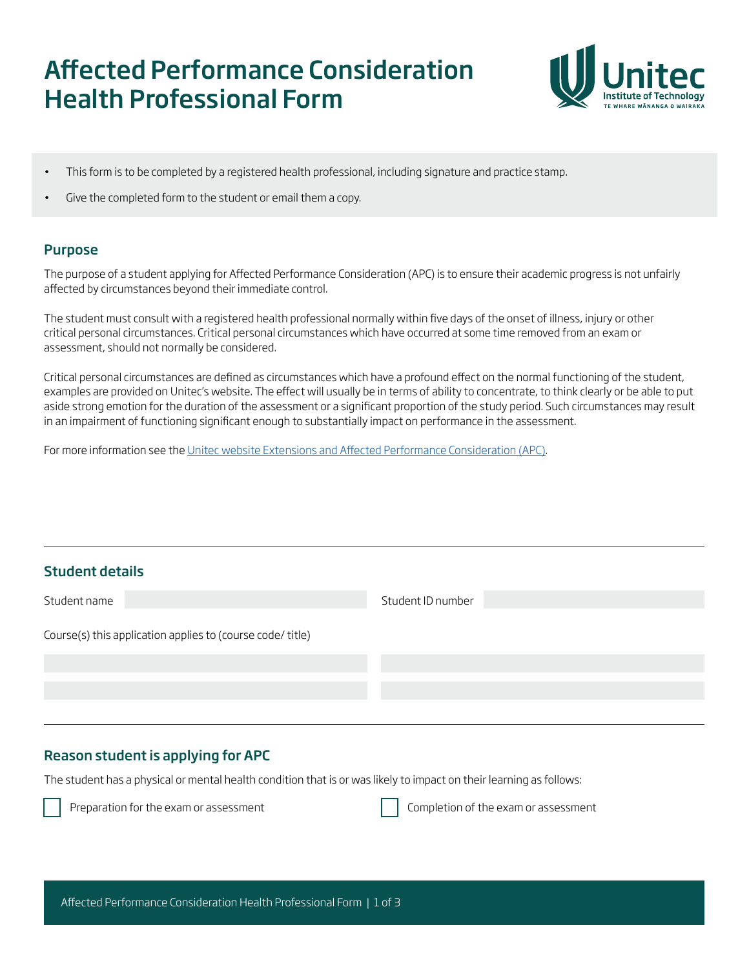# Affected Performance Consideration Health Professional Form



- This form is to be completed by a registered health professional, including signature and practice stamp.
- Give the completed form to the student or email them a copy.

## Purpose

The purpose of a student applying for Affected Performance Consideration (APC) is to ensure their academic progress is not unfairly affected by circumstances beyond their immediate control.

The student must consult with a registered health professional normally within five days of the onset of illness, injury or other critical personal circumstances. Critical personal circumstances which have occurred at some time removed from an exam or assessment, should not normally be considered.

Critical personal circumstances are defined as circumstances which have a profound effect on the normal functioning of the student, examples are provided on Unitec's website. The effect will usually be in terms of ability to concentrate, to think clearly or be able to put aside strong emotion for the duration of the assessment or a significant proportion of the study period. Such circumstances may result in an impairment of functioning significant enough to substantially impact on performance in the assessment.

For more information see the [Unitec website Extensions and Affected Performance Consideration \(APC\)](https://unitec.ac.nz/current-students/study-support/extensions-and-affected-performance-consideration).

# Student details

| Student name                                               | Student ID number |
|------------------------------------------------------------|-------------------|
| Course(s) this application applies to (course code/ title) |                   |
|                                                            |                   |
|                                                            |                   |
|                                                            |                   |

# Reason student is applying for APC

The student has a physical or mental health condition that is or was likely to impact on their learning as follows:



Preparation for the exam or assessment  $\vert \ \vert$  Completion of the exam or assessment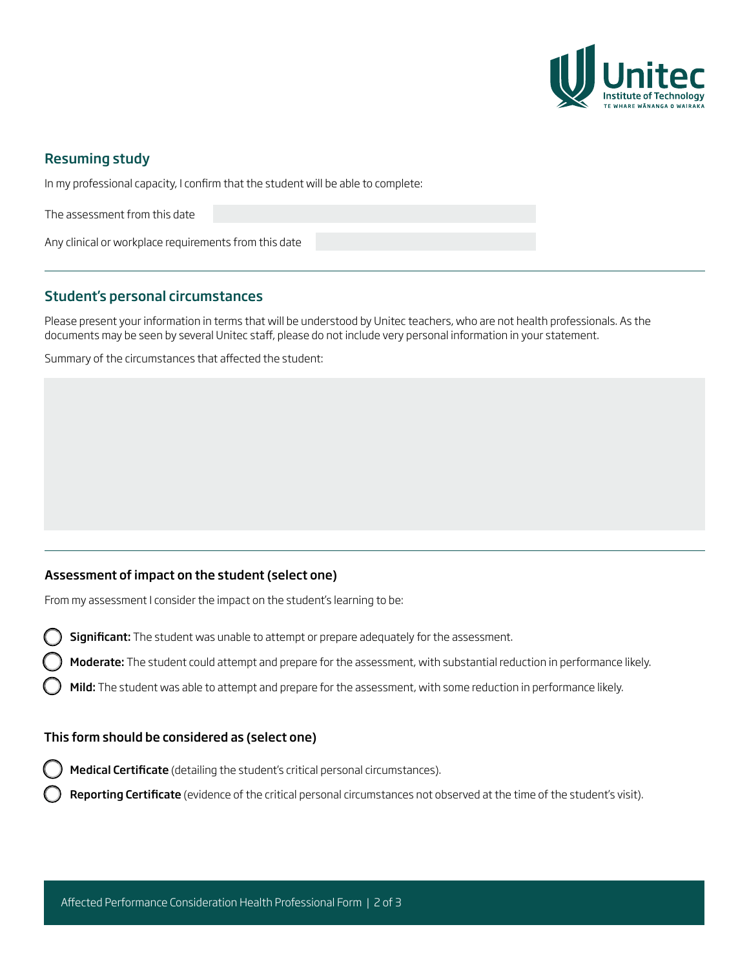

### Resuming study

In my professional capacity, I confirm that the student will be able to complete:

The assessment from this date

Any clinical or workplace requirements from this date

## Student's personal circumstances

Please present your information in terms that will be understood by Unitec teachers, who are not health professionals. As the documents may be seen by several Unitec staff, please do not include very personal information in your statement.

Summary of the circumstances that affected the student:

#### Assessment of impact on the student (select one)

From my assessment I consider the impact on the student's learning to be:

- Significant: The student was unable to attempt or prepare adequately for the assessment.
- Moderate: The student could attempt and prepare for the assessment, with substantial reduction in performance likely.
- Mild: The student was able to attempt and prepare for the assessment, with some reduction in performance likely.

#### This form should be considered as (select one)

- Medical Certificate (detailing the student's critical personal circumstances).
- Reporting Certificate (evidence of the critical personal circumstances not observed at the time of the student's visit).